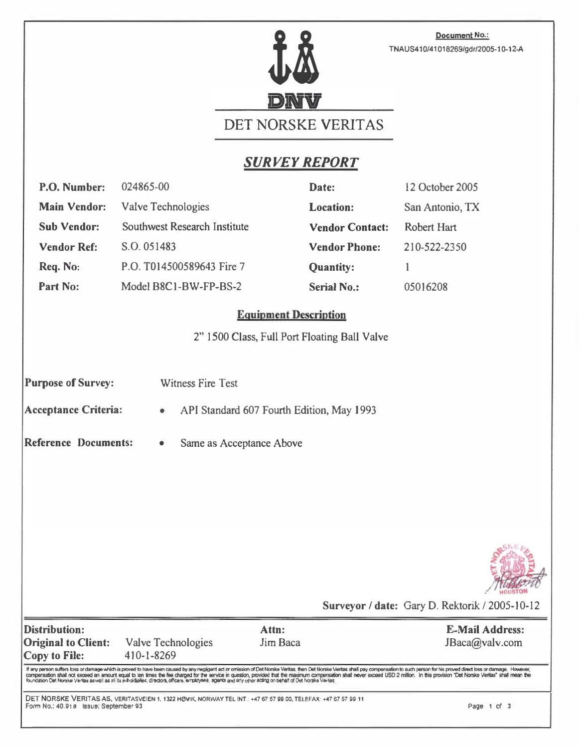

Document No.: TNAUS410/41018269/gdr/2005-10-12-A

# DET NORSKE VERITAS

## SURVEY REPORT

| P.O. Number:                                                                                                                                                                                                                                                                                                                                                                                                                                                                                                                                                                                                                    | 024865-00                                                                                                     |                   | Date:                  | 12 October 2005                                |             |  |
|---------------------------------------------------------------------------------------------------------------------------------------------------------------------------------------------------------------------------------------------------------------------------------------------------------------------------------------------------------------------------------------------------------------------------------------------------------------------------------------------------------------------------------------------------------------------------------------------------------------------------------|---------------------------------------------------------------------------------------------------------------|-------------------|------------------------|------------------------------------------------|-------------|--|
| <b>Main Vendor:</b>                                                                                                                                                                                                                                                                                                                                                                                                                                                                                                                                                                                                             | Valve Technologies                                                                                            |                   | <b>Location:</b>       | San Antonio, TX                                |             |  |
| <b>Sub Vendor:</b>                                                                                                                                                                                                                                                                                                                                                                                                                                                                                                                                                                                                              | <b>Southwest Research Institute</b>                                                                           |                   | <b>Vendor Contact:</b> | Robert Hart                                    |             |  |
| <b>Vendor Ref:</b>                                                                                                                                                                                                                                                                                                                                                                                                                                                                                                                                                                                                              | S.O. 051483                                                                                                   |                   | <b>Vendor Phone:</b>   | 210-522-2350                                   |             |  |
| Req. No:                                                                                                                                                                                                                                                                                                                                                                                                                                                                                                                                                                                                                        | P.O. T014500589643 Fire 7                                                                                     |                   | <b>Quantity:</b>       | 1                                              |             |  |
| Part No:                                                                                                                                                                                                                                                                                                                                                                                                                                                                                                                                                                                                                        | Model B8C1-BW-FP-BS-2                                                                                         |                   | <b>Serial No.:</b>     | 05016208                                       |             |  |
| <b>Equipment Description</b><br>2" 1500 Class, Full Port Floating Ball Valve                                                                                                                                                                                                                                                                                                                                                                                                                                                                                                                                                    |                                                                                                               |                   |                        |                                                |             |  |
| <b>Purpose of Survey:</b><br><b>Witness Fire Test</b><br><b>Acceptance Criteria:</b><br>API Standard 607 Fourth Edition, May 1993<br>$\bullet$                                                                                                                                                                                                                                                                                                                                                                                                                                                                                  |                                                                                                               |                   |                        |                                                |             |  |
| <b>Reference Documents:</b><br>Same as Acceptance Above<br>۰                                                                                                                                                                                                                                                                                                                                                                                                                                                                                                                                                                    |                                                                                                               |                   |                        |                                                |             |  |
|                                                                                                                                                                                                                                                                                                                                                                                                                                                                                                                                                                                                                                 |                                                                                                               |                   |                        |                                                |             |  |
|                                                                                                                                                                                                                                                                                                                                                                                                                                                                                                                                                                                                                                 |                                                                                                               |                   |                        |                                                |             |  |
|                                                                                                                                                                                                                                                                                                                                                                                                                                                                                                                                                                                                                                 |                                                                                                               |                   |                        | Surveyor / date: Gary D. Rektorik / 2005-10-12 |             |  |
| <b>Distribution:</b><br><b>Original to Client:</b><br><b>Copy to File:</b>                                                                                                                                                                                                                                                                                                                                                                                                                                                                                                                                                      | <b>Valve Technologies</b><br>410-1-8269                                                                       | Attn:<br>Jim Baca |                        | <b>E-Mail Address:</b><br>JBaca@valv.com       |             |  |
| If any person suffers loss or damage which is proved to have been caused by any negligent act or omission of Det Norske Veritas, then Det Norske Veritas shall pay compensation to such person for his proved direct loss or d<br>compensation shall not exceed an amount equal to ten times the fee charged for the service in question, provided that the maximum compensation shall never exceed USD 2 million. In this provision "Det Norske Veritas" shall<br>foundation Det Norske Verites as well as all its subsidiatios, directors, officers, erruloyees, agents and any other acting on behalf of Det Norske Verites. |                                                                                                               |                   |                        |                                                |             |  |
| Form No.: 40.91a Issue: September 93                                                                                                                                                                                                                                                                                                                                                                                                                                                                                                                                                                                            | DET NORSKE VERITAS AS, VERITASVEIEN 1, 1322 HØVIK, NORWAY TEL INT.: +47 67 57 99 00, TELEFAX: +47 67 57 99 11 |                   |                        |                                                | Page 1 of 3 |  |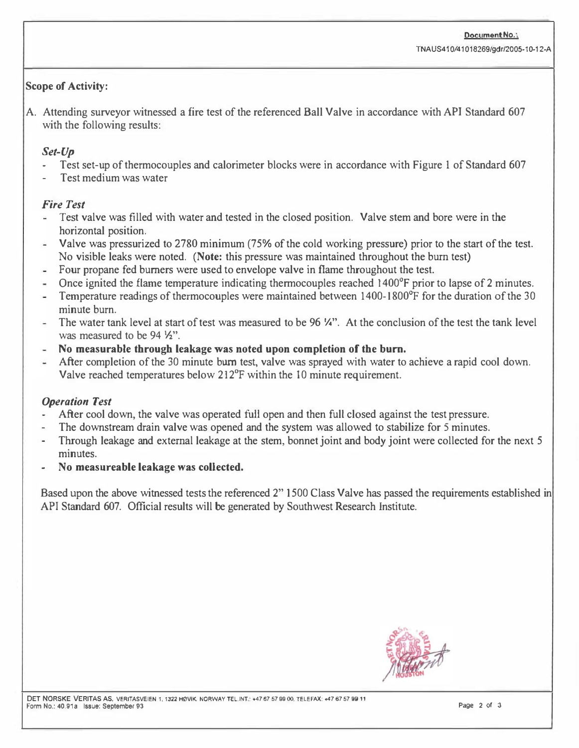#### Scope of Activity:

A. Attending surveyor witnessed a fire test of the referenced Ball Valve in accordance with API Standard 607 with the following results:

#### Set-Up

- Test set-up of thermocouples and calorimeter blocks were in accordance with Figure 1 of Standard 607
- Test medium was water

#### Fire Test

- Test valve was filled with water and tested in the closed position. Valve stem and bore were in the  $\sim$ horizontal position.
- Valve was pressurized to 2780 minimum (75% of the cold working pressure) prior to the start of the test.  $\frac{1}{2}$ No visible leaks were noted. (Note: this pressure was maintained throughout the burn test)
- Four propane fed burners were used to envelope valve in flame throughout the test.
- Once ignited the flame temperature indicating thermocouples reached 1400<sup>°</sup>F prior to lapse of 2 minutes.
- Temperature readings of thermocouples were maintained between 1400-1 800°F for the duration of the 30 a. minute burn.
- The water tank level at start of test was measured to be 96 W'. At the conclusion of the test the tank level was measured to be 94  $\frac{1}{2}$ .
- No measurable through leakage was noted upon completion of the burn.
- After completion of the 30 minute burn test, valve was sprayed with water to achieve a rapid cool down. Valve reached temperatures below 212°F within the 10 minute requirement.

### Operation Test

- After cool down, the valve was operated full open and then full closed against the test pressure.
- The downstream drain valve was opened and the system was allowed to stabilize for 5 minutes.
- Through leakage and external leakage at the stem, bonnet joint and body joint were collected for the next 5 minutes.
- No measureable leakage was collected.

Based upon the above witnessed tests the referenced 2" 1500 Class Valve has passed the requirements established in API Standard 607. Official results will be generated by Southwest Research Institute.